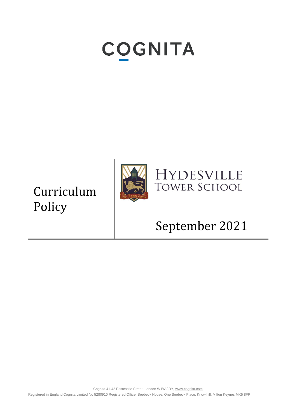# **COGNITA**

Curriculum Policy



### **HYDESVILLE TOWER SCHOOL**

## September 2021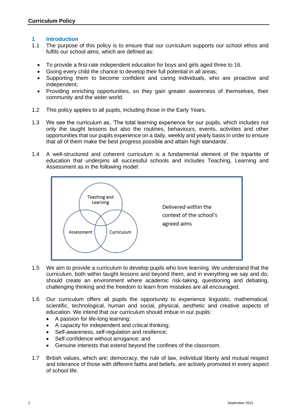#### **1 Introduction**

- 1.1 The purpose of this policy is to ensure that our curriculum supports our school ethos and fulfils our school aims, which are defined as:
	- To provide a first-rate independent education for boys and girls aged three to 16.
	- Giving every child the chance to develop their full potential in all areas;
	- Supporting them to become confident and caring individuals, who are proactive and independent;
	- Providing enriching opportunities, so they gain greater awareness of themselves, their community and the wider world.
- 1.2 This policy applies to all pupils, including those in the Early Years.
- 1.3 We see the curriculum as, 'The total learning experience for our pupils, which includes not only the taught lessons but also the routines, behaviours, events, activities and other opportunities that our pupils experience on a daily, weekly and yearly basis in order to ensure that all of them make the best progress possible and attain high standards'.
- 1.4 A well-structured and coherent curriculum is a fundamental element of the tripartite of education that underpins all successful schools and includes Teaching, Learning and Assessment as in the following model:



- 1.5 We aim to provide a curriculum to develop pupils who love learning. We understand that the curriculum, both within taught lessons and beyond them, and in everything we say and do, should create an environment where academic risk-taking, questioning and debating, challenging thinking and the freedom to learn from mistakes are all encouraged.
- 1.6 Our curriculum offers all pupils the opportunity to experience linguistic, mathematical, scientific, technological, human and social, physical, aesthetic and creative aspects of education. We intend that our curriculum should imbue in our pupils:
	- A passion for life-long learning;
	- A capacity for independent and critical thinking;
	- Self-awareness, self-regulation and resilience;
	- Self-confidence without arrogance; and
	- Genuine interests that extend beyond the confines of the classroom.
- 1.7 British values, which are; democracy, the rule of law, individual liberty and mutual respect and tolerance of those with different faiths and beliefs, are actively promoted in every aspect of school life.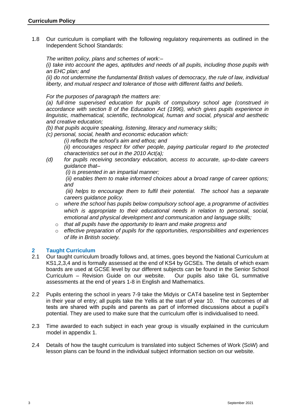1.8 Our curriculum is compliant with the following regulatory requirements as outlined in the Independent School Standards:

*The written policy, plans and schemes of work:–*

*(i) take into account the ages, aptitudes and needs of all pupils, including those pupils with an EHC plan; and* 

*(ii) do not undermine the fundamental British values of democracy, the rule of law, individual liberty, and mutual respect and tolerance of those with different faiths and beliefs.* 

*For the purposes of paragraph the matters are:*

*(a) full-time supervised education for pupils of compulsory school age (construed in accordance with section 8 of the Education Act (1996), which gives pupils experience in linguistic, mathematical, scientific, technological, human and social, physical and aesthetic and creative education;* 

*(b) that pupils acquire speaking, listening, literacy and numeracy skills;* 

*(c) personal, social, health and economic education which:*

*(i) reflects the school's aim and ethos; and* 

*(ii) encourages respect for other people, paying particular regard to the protected characteristics set out in the 2010 Act(a);*

*(d) for pupils receiving secondary education, access to accurate, up-to-date careers guidance that–*

*(i) is presented in an impartial manner;*

*(ii) enables them to make informed choices about a broad range of career options; and*

*(iii) helps to encourage them to fulfil their potential. The school has a separate careers guidance policy.*

- o *where the school has pupils below compulsory school age, a programme of activities which is appropriate to their educational needs in relation to personal, social, emotional and physical development and communication and language skills;*
- o *that all pupils have the opportunity to learn and make progress and*
- o *effective preparation of pupils for the opportunities, responsibilities and experiences of life in British society.*

#### **2 Taught Curriculum**

- 2.1 Our taught curriculum broadly follows and, at times, goes beyond the National Curriculum at KS1,2,3,4 and is formally assessed at the end of KS4 by GCSEs. The details of which exam boards are used at GCSE level by our different subjects can be found in the Senior School Curriculum – Revision Guide on our website. Our pupils also take GL summative assessments at the end of years 1-8 in English and Mathematics.
- 2.2 Pupils entering the school in years 7-9 take the Midyis or CAT4 baseline test in September in their year of entry; all pupils take the Yellis at the start of year 10. The outcomes of all tests are shared with pupils and parents as part of informed discussions about a pupil's potential. They are used to make sure that the curriculum offer is individualised to need.
- 2.3 Time awarded to each subject in each year group is visually explained in the curriculum model in appendix 1.
- 2.4 Details of how the taught curriculum is translated into subject Schemes of Work (SoW) and lesson plans can be found in the individual subject information section on our website.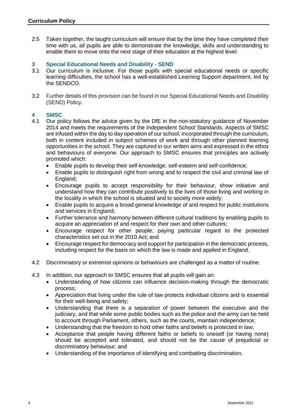2.5 Taken together, the taught curriculum will ensure that by the time they have completed their time with us, all pupils are able to demonstrate the knowledge, skills and understanding to enable them to move onto the next stage of their education at the highest level.

#### **3 Special Educational Needs and Disability - SEND**

- 3.1 Our curriculum is inclusive. For those pupils with special educational needs or specific learning difficulties, the school has a well-established Learning Support department, led by the SENDCO.
- 3.2 Further details of this provision can be found in our Special Educational Needs and Disability (SEND) Policy.

#### **4 SMSC**

- 4.1 Our policy follows the advice given by the DfE in the non-statutory guidance of November 2014 and meets the requirements of the Independent School Standards. Aspects of SMSC are infused within the day to day operation of our school; incorporated through the curriculum, both in content included in subject schemes of work and through other planned learning opportunities in the school. They are captured in our written aims and expressed in the ethos and behaviours of everyone. Our approach to SMSC ensures that principles are actively promoted which:
	- Enable pupils to develop their self-knowledge, self-esteem and self-confidence;
	- Enable pupils to distinguish right from wrong and to respect the civil and criminal law of England;
	- Encourage pupils to accept responsibility for their behaviour, show initiative and understand how they can contribute positively to the lives of those living and working in the locality in which the school is situated and to society more widely;
	- Enable pupils to acquire a broad general knowledge of and respect for public institutions and services in England;
	- Further tolerance and harmony between different cultural traditions by enabling pupils to acquire an appreciation of and respect for their own and other cultures;
	- Encourage respect for other people, paying particular regard to the protected characteristics set out in the 2010 Act; and
	- Encourage respect for democracy and support for participation in the democratic process, including respect for the basis on which the law is made and applied in England.
- 4.2 Discriminatory or extremist opinions or behaviours are challenged as a matter of routine.
- 4.3 In addition, our approach to SMSC ensures that all pupils will gain an:
	- Understanding of how citizens can influence decision-making through the democratic process;
	- Appreciation that living under the rule of law protects individual citizens and is essential for their well-being and safety;
	- Understanding that there is a separation of power between the executive and the judiciary, and that while some public bodies such as the police and the army can be held to account through Parliament, others, such as the courts, maintain independence;
	- Understanding that the freedom to hold other faiths and beliefs is protected in law;
	- Acceptance that people having different faiths or beliefs to oneself (or having none) should be accepted and tolerated, and should not be the cause of prejudicial or discriminatory behaviour; and
	- Understanding of the importance of identifying and combatting discrimination.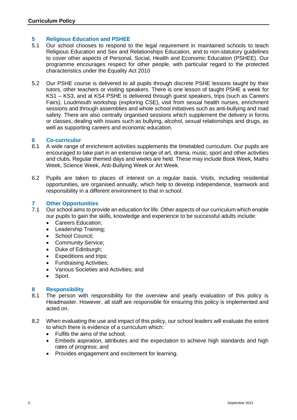#### **5 Religious Education and PSHEE**

- 5.1 Our school chooses to respond to the legal requirement in maintained schools to teach Religious Education and Sex and Relationships Education, and to non-statutory guidelines to cover other aspects of Personal, Social, Health and Economic Education (PSHEE). Our programme encourages respect for other people, with particular regard to the protected characteristics under the Equality Act 2010
- 5.2 Our PSHE course is delivered to all pupils through discrete PSHE lessons taught by their tutors, other teachers or visiting speakers. There is one lesson of taught PSHE a week for KS1 – KS3, and at KS4 PSHE is delivered through guest speakers, trips (such as Careers Fairs), Loudmouth workshop (exploring CSE), visit from sexual health nurses, enrichment sessions and through assemblies and whole school initiatives such as anti-bullying and road safety. There are also centrally organised sessions which supplement the delivery in forms or classes, dealing with issues such as bullying, alcohol, sexual relationships and drugs, as well as supporting careers and economic education.

#### **6 Co-curriculur**

- 6.1 A wide range of enrichment activities supplements the timetabled curriculum. Our pupils are encouraged to take part in an extensive range of art, drama, music, sport and other activities and clubs. Regular themed days and weeks are held. These may include Book Week, Maths Week, Science Week, Anti‐Bullying Week or Art Week.
- 6.2 Pupils are taken to places of interest on a regular basis. Visits, including residential opportunities, are organised annually, which help to develop independence, teamwork and responsibility in a different environment to that in school.

#### **7 Other Opportunities**

- 7.1 Our school aims to provide an education for life. Other aspects of our curriculum which enable our pupils to gain the skills, knowledge and experience to be successful adults include:
	- Careers Education;
	- Leadership Training;
	- School Council;
	- Community Service;
	- Duke of Edinburgh;
	- Expeditions and trips;
	- Fundraising Activities;
	- Various Societies and Activities; and
	- Sport.

#### **8 Responsibility**

- 8.1 The person with responsibility for the overview and yearly evaluation of this policy is Headmaster. However, all staff are responsible for ensuring this policy is implemented and acted on.
- 8.2 When evaluating the use and impact of this policy, our school leaders will evaluate the extent to which there is evidence of a curriculum which:
	- Fulfils the aims of the school;
	- Embeds aspiration, attributes and the expectation to achieve high standards and high rates of progress; and
	- Provides engagement and excitement for learning.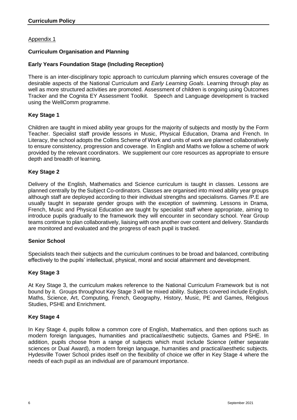#### Appendix 1

#### **Curriculum Organisation and Planning**

#### **Early Years Foundation Stage (Including Reception)**

There is an inter-disciplinary topic approach to curriculum planning which ensures coverage of the desirable aspects of the National Curriculum and *Early Learning Goals*. Learning through play as well as more structured activities are promoted. Assessment of children is ongoing using Outcomes Tracker and the Cognita EY Assessment Toolkit. Speech and Language development is tracked using the WellComm programme.

#### **Key Stage 1**

Children are taught in mixed ability year groups for the majority of subjects and mostly by the Form Teacher. Specialist staff provide lessons in Music, Physical Education, Drama and French. In Literacy, the school adopts the Collins Scheme of Work and units of work are planned collaboratively to ensure consistency, progression and coverage. In English and Maths we follow a scheme of work provided by the relevant coordinators. We supplement our core resources as appropriate to ensure depth and breadth of learning.

#### **Key Stage 2**

Delivery of the English, Mathematics and Science curriculum is taught in classes. Lessons are planned centrally by the Subject Co-ordinators. Classes are organised into mixed ability year groups although staff are deployed according to their individual strengths and specialisms. Games /P.E are usually taught in separate gender groups with the exception of swimming. Lessons in Drama, French, Music and Physical Education are taught by specialist staff where appropriate, aiming to introduce pupils gradually to the framework they will encounter in secondary school. Year Group teams continue to plan collaboratively, liaising with one another over content and delivery. Standards are monitored and evaluated and the progress of each pupil is tracked.

#### **Senior School**

Specialists teach their subjects and the curriculum continues to be broad and balanced, contributing effectively to the pupils' intellectual, physical, moral and social attainment and development.

#### **Key Stage 3**

At Key Stage 3, the curriculum makes reference to the National Curriculum Framework but is not bound by it. Groups throughout Key Stage 3 will be mixed ability. Subjects covered include English, Maths, Science, Art, Computing, French, Geography, History, Music, PE and Games, Religious Studies, PSHE and Enrichment.

#### **Key Stage 4**

In Key Stage 4, pupils follow a common core of English, Mathematics, and then options such as modern foreign languages, humanities and practical/aesthetic subjects, Games and PSHE. In addition, pupils choose from a range of subjects which must include Science (either separate sciences or Dual Award), a modern foreign language, humanities and practical/aesthetic subjects. Hydesville Tower School prides itself on the flexibility of choice we offer in Key Stage 4 where the needs of each pupil as an individual are of paramount importance.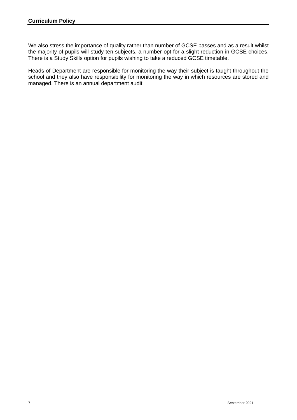We also stress the importance of quality rather than number of GCSE passes and as a result whilst the majority of pupils will study ten subjects, a number opt for a slight reduction in GCSE choices. There is a Study Skills option for pupils wishing to take a reduced GCSE timetable.

Heads of Department are responsible for monitoring the way their subject is taught throughout the school and they also have responsibility for monitoring the way in which resources are stored and managed. There is an annual department audit.